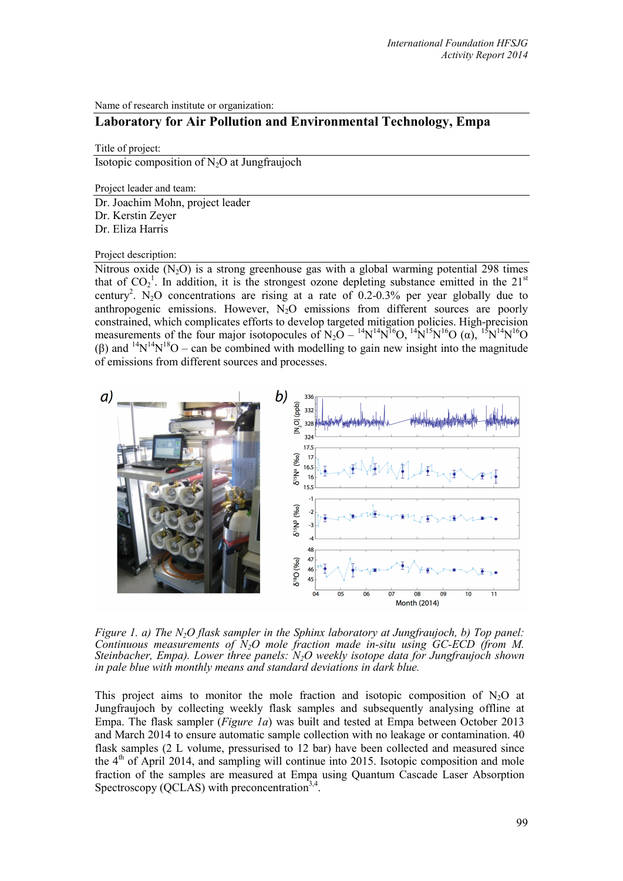Name of research institute or organization:

# **Laboratory for Air Pollution and Environmental Technology, Empa**

Title of project:

Isotopic composition of  $N_2O$  at Jungfraujoch

Project leader and team:

Dr. Joachim Mohn, project leader Dr. Kerstin Zeyer Dr. Eliza Harris

Project description:

Nitrous oxide  $(N_2O)$  is a strong greenhouse gas with a global warming potential 298 times that of  $CO_2^1$ . In addition, it is the strongest ozone depleting substance emitted in the 21<sup>st</sup> century<sup>2</sup>. N<sub>2</sub>O concentrations are rising at a rate of 0.2-0.3% per year globally due to anthropogenic emissions. However, N<sub>2</sub>O emissions from different sources are poorly constrained, which complicates efforts to develop targeted mitigation policies. High-precision measurements of the four major isotopocules of  $N_2O - {}^{14}N^{14}N^{16}O$ ,  ${}^{14}N^{15}N^{16}O$  ( $\alpha$ ),  ${}^{15}N^{14}N^{16}O$ (β) and  $14N^{14}N^{18}O$  – can be combined with modelling to gain new insight into the magnitude of emissions from different sources and processes.



*Figure 1. a) The N2O flask sampler in the Sphinx laboratory at Jungfraujoch, b) Top panel: Continuous measurements of N2O mole fraction made in-situ using GC-ECD (from M. Steinbacher, Empa). Lower three panels: N2O weekly isotope data for Jungfraujoch shown in pale blue with monthly means and standard deviations in dark blue.*

This project aims to monitor the mole fraction and isotopic composition of  $N_2O$  at Jungfraujoch by collecting weekly flask samples and subsequently analysing offline at Empa. The flask sampler (*Figure 1a*) was built and tested at Empa between October 2013 and March 2014 to ensure automatic sample collection with no leakage or contamination. 40 flask samples (2 L volume, pressurised to 12 bar) have been collected and measured since the  $4<sup>th</sup>$  of April 2014, and sampling will continue into 2015. Isotopic composition and mole fraction of the samples are measured at Empa using Quantum Cascade Laser Absorption Spectroscopy (QCLAS) with preconcentration<sup>3,4</sup>.